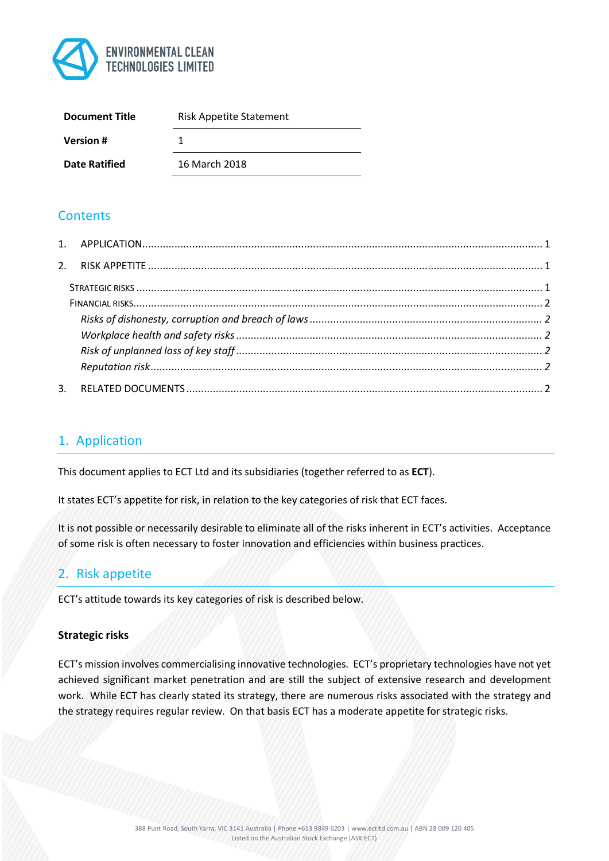

| <b>Document Title</b> | <b>Risk Appetite Statement</b> |
|-----------------------|--------------------------------|
| <b>Version #</b>      |                                |
| <b>Date Ratified</b>  | 16 March 2018                  |

# **Contents**

| 3. |  |
|----|--|

# 1. Application

This document applies to ECT Ltd and its subsidiaries (together referred to as **ECT**).

It states ECT's appetite for risk, in relation to the key categories of risk that ECT faces.

It is not possible or necessarily desirable to eliminate all of the risks inherent in ECT's activities. Acceptance of some risk is often necessary to foster innovation and efficiencies within business practices.

# 2. Risk appetite

ECT's attitude towards its key categories of risk is described below.

### **Strategic risks**

ECT's mission involves commercialising innovative technologies. ECT's proprietary technologies have not yet achieved significant market penetration and are still the subject of extensive research and development work. While ECT has clearly stated its strategy, there are numerous risks associated with the strategy and the strategy requires regular review. On that basis ECT has a moderate appetite for strategic risks.